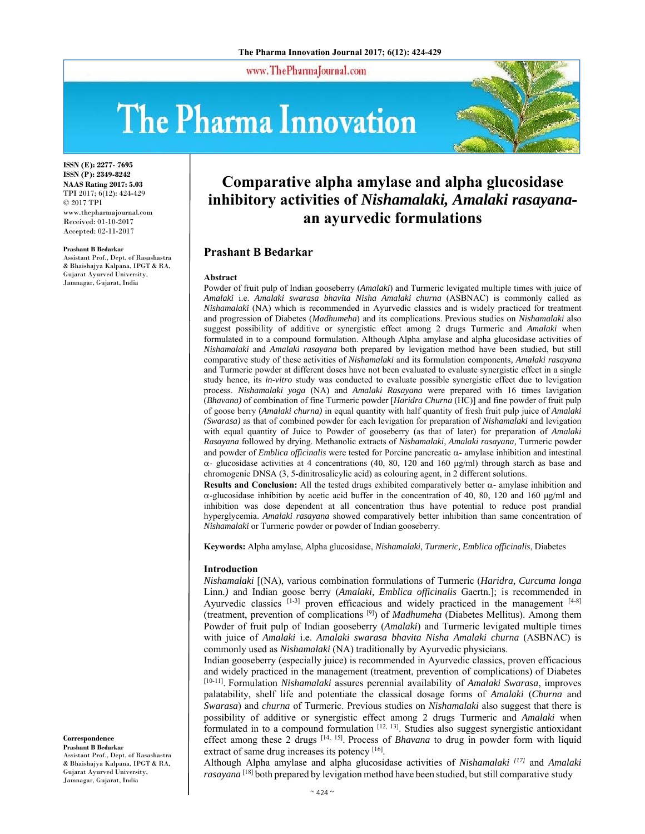www.ThePharmaJournal.com

# The Pharma Innovation



**ISSN (E): 2277- 7695 ISSN (P): 2349-8242 NAAS Rating 2017: 5.03** TPI 2017; 6(12): 424-429 © 2017 TPI www.thepharmajournal.com Received: 01-10-2017 Accepted: 02-11-2017

**Prashant B Bedarkar** 

Assistant Prof., Dept. of Rasashastra & Bhaishajya Kalpana, IPGT & RA, Gujarat Ayurved University, Jamnagar, Gujarat, India

# **Comparative alpha amylase and alpha glucosidase inhibitory activities of** *Nishamalaki, Amalaki rasayana***an ayurvedic formulations**

## **Prashant B Bedarkar**

#### **Abstract**

Powder of fruit pulp of Indian gooseberry (*Amalaki*) and Turmeric levigated multiple times with juice of *Amalaki* i.e. *Amalaki swarasa bhavita Nisha Amalaki churna* (ASBNAC) is commonly called as *Nishamalaki* (NA) which is recommended in Ayurvedic classics and is widely practiced for treatment and progression of Diabetes (*Madhumeha*) and its complications. Previous studies on *Nishamalaki* also suggest possibility of additive or synergistic effect among 2 drugs Turmeric and *Amalaki* when formulated in to a compound formulation. Although Alpha amylase and alpha glucosidase activities of *Nishamalaki* and *Amalaki rasayana* both prepared by levigation method have been studied, but still comparative study of these activities of *Nishamalaki* and its formulation components*, Amalaki rasayana*  and Turmeric powder at different doses have not been evaluated to evaluate synergistic effect in a single study hence, its *in-vitro* study was conducted to evaluate possible synergistic effect due to levigation process. *Nishamalaki yoga* (NA) and *Amalaki Rasayana* were prepared with 16 times lavigation (*Bhavana)* of combination of fine Turmeric powder [*Haridra Churna* (HC)] and fine powder of fruit pulp of goose berry (*Amalaki churna)* in equal quantity with half quantity of fresh fruit pulp juice of *Amalaki (Swarasa)* as that of combined powder for each levigation for preparation of *Nishamalaki* and levigation with equal quantity of Juice to Powder of gooseberry (as that of later) for preparation of *Amalaki Rasayana* followed by drying. Methanolic extracts of *Nishamalaki, Amalaki rasayana,* Turmeric powder and powder of *Emblica officinalis* were tested for Porcine pancreatic  $\alpha$ - amylase inhibition and intestinal  $\alpha$ - glucosidase activities at 4 concentrations (40, 80, 120 and 160  $\mu$ g/ml) through starch as base and chromogenic DNSA (3, 5-dinitrosalicylic acid) as colouring agent, in 2 different solutions.

**Results and Conclusion:** All the tested drugs exhibited comparatively better  $\alpha$ - amylase inhibition and  $\alpha$ -glucosidase inhibition by acetic acid buffer in the concentration of 40, 80, 120 and 160 ug/ml and inhibition was dose dependent at all concentration thus have potential to reduce post prandial hyperglycemia. *Amalaki rasayana* showed comparatively better inhibition than same concentration of *Nishamalaki* or Turmeric powder or powder of Indian gooseberry.

**Keywords:** Alpha amylase, Alpha glucosidase, *Nishamalaki, Turmeric, Emblica officinalis*, Diabetes

#### **Introduction**

*Nishamalaki* [(NA), various combination formulations of Turmeric (*Haridra, Curcuma longa*  Linn*.)* and Indian goose berry (*Amalaki, Emblica officinalis* Gaertn*.*]; is recommended in Ayurvedic classics  $[1-3]$  proven efficacious and widely practiced in the management  $[4-8]$ (treatment, prevention of complications [9]) of *Madhumeha* (Diabetes Mellitus). Among them Powder of fruit pulp of Indian gooseberry (*Amalaki*) and Turmeric levigated multiple times with juice of *Amalaki* i.e. *Amalaki swarasa bhavita Nisha Amalaki churna* (ASBNAC) is commonly used as *Nishamalaki* (NA) traditionally by Ayurvedic physicians.

Indian gooseberry (especially juice) is recommended in Ayurvedic classics, proven efficacious and widely practiced in the management (treatment, prevention of complications) of Diabetes [10-11]. Formulation *Nishamalaki* assures perennial availability of *Amalaki Swarasa*, improves palatability, shelf life and potentiate the classical dosage forms of *Amalaki* (*Churna* and *Swarasa*) and *churna* of Turmeric. Previous studies on *Nishamalaki* also suggest that there is possibility of additive or synergistic effect among 2 drugs Turmeric and *Amalaki* when formulated in to a compound formulation  $[12, 13]$ . Studies also suggest synergistic antioxidant effect among these 2 drugs <sup>[14, 15]</sup>. Process of *Bhavana* to drug in powder form with liquid extract of same drug increases its potency [16].

Although Alpha amylase and alpha glucosidase activities of *Nishamalaki [17]* and *Amalaki rasayana* [18] both prepared by levigation method have been studied, butstill comparative study

#### **Correspondence Prashant B Bedarkar**

Assistant Prof., Dept. of Rasashastra & Bhaishajya Kalpana, IPGT & RA, Gujarat Ayurved University, Jamnagar, Gujarat, India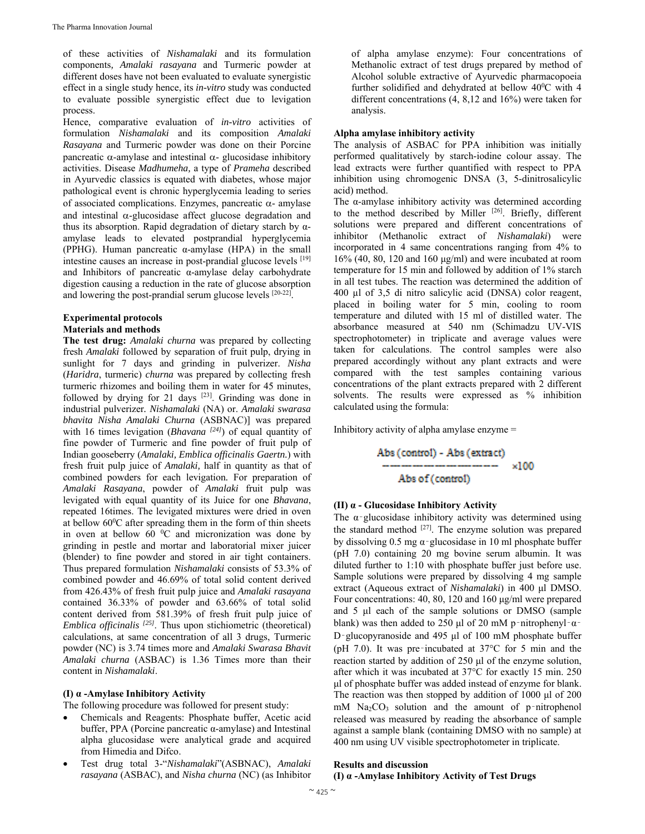of these activities of *Nishamalaki* and its formulation components*, Amalaki rasayana* and Turmeric powder at different doses have not been evaluated to evaluate synergistic effect in a single study hence, its *in-vitro* study was conducted to evaluate possible synergistic effect due to levigation process.

Hence, comparative evaluation of *in-vitro* activities of formulation *Nishamalaki* and its composition *Amalaki Rasayana* and Turmeric powder was done on their Porcine pancreatic  $\alpha$ -amylase and intestinal  $\alpha$ - glucosidase inhibitory activities. Disease *Madhumeha,* a type of *Prameha* described in Ayurvedic classics is equated with diabetes, whose major pathological event is chronic hyperglycemia leading to series of associated complications. Enzymes, pancreatic  $\alpha$ - amylase and intestinal  $\alpha$ -glucosidase affect glucose degradation and thus its absorption. Rapid degradation of dietary starch by αamylase leads to elevated postprandial hyperglycemia (PPHG). Human pancreatic  $\alpha$ -amylase (HPA) in the small intestine causes an increase in post-prandial glucose levels [19] and Inhibitors of pancreatic  $\alpha$ -amylase delay carbohydrate digestion causing a reduction in the rate of glucose absorption and lowering the post-prandial serum glucose levels [20-22].

# **Experimental protocols**

## **Materials and methods**

**The test drug:** *Amalaki churna* was prepared by collecting fresh *Amalaki* followed by separation of fruit pulp, drying in sunlight for 7 days and grinding in pulverizer. *Nisha* (*Haridra*, turmeric) *churna* was prepared by collecting fresh turmeric rhizomes and boiling them in water for 45 minutes, followed by drying for 21 days [23]. Grinding was done in industrial pulverizer*. Nishamalaki* (NA) or. *Amalaki swarasa bhavita Nisha Amalaki Churna* (ASBNAC)] was prepared with 16 times levigation (*Bhavana* <sup>[24]</sup>) of equal quantity of fine powder of Turmeric and fine powder of fruit pulp of Indian gooseberry (*Amalaki, Emblica officinalis Gaertn.*) with fresh fruit pulp juice of *Amalaki,* half in quantity as that of combined powders for each levigation*.* For preparation of *Amalaki Rasayana*, powder of *Amalaki* fruit pulp was levigated with equal quantity of its Juice for one *Bhavana*, repeated 16times. The levigated mixtures were dried in oven at bellow 60°C after spreading them in the form of thin sheets in oven at bellow  $60<sup>o</sup>C$  and micronization was done by grinding in pestle and mortar and laboratorial mixer juicer (blender) to fine powder and stored in air tight containers. Thus prepared formulation *Nishamalaki* consists of 53.3% of combined powder and 46.69% of total solid content derived from 426.43% of fresh fruit pulp juice and *Amalaki rasayana* contained 36.33% of powder and 63.66% of total solid content derived from 581.39% of fresh fruit pulp juice of *Emblica officinalis* <sup>[25]</sup>. Thus upon stichiometric (theoretical) calculations, at same concentration of all 3 drugs, Turmeric powder (NC) is 3.74 times more and *Amalaki Swarasa Bhavit Amalaki churna* (ASBAC) is 1.36 Times more than their content in *Nishamalaki*.

#### **(I) α -Amylase Inhibitory Activity**

The following procedure was followed for present study:

- Chemicals and Reagents: Phosphate buffer, Acetic acid buffer, PPA (Porcine pancreatic α-amylase) and Intestinal alpha glucosidase were analytical grade and acquired from Himedia and Difco.
- Test drug total 3-"*Nishamalaki*"(ASBNAC), *Amalaki rasayana* (ASBAC), and *Nisha churna* (NC) (as Inhibitor

of alpha amylase enzyme): Four concentrations of Methanolic extract of test drugs prepared by method of Alcohol soluble extractive of Ayurvedic pharmacopoeia further solidified and dehydrated at bellow 40°C with 4 different concentrations (4, 8,12 and 16%) were taken for analysis.

#### **Alpha amylase inhibitory activity**

The analysis of ASBAC for PPA inhibition was initially performed qualitatively by starch-iodine colour assay. The lead extracts were further quantified with respect to PPA inhibition using chromogenic DNSA (3, 5-dinitrosalicylic acid) method.

The  $\alpha$ -amylase inhibitory activity was determined according to the method described by Miller  $[26]$ . Briefly, different solutions were prepared and different concentrations of inhibitor (Methanolic extract of *Nishamalaki*) were incorporated in 4 same concentrations ranging from 4% to 16% (40, 80, 120 and 160 μg/ml) and were incubated at room temperature for 15 min and followed by addition of 1% starch in all test tubes. The reaction was determined the addition of 400 µl of 3,5 di nitro salicylic acid (DNSA) color reagent, placed in boiling water for 5 min, cooling to room temperature and diluted with 15 ml of distilled water. The absorbance measured at 540 nm (Schimadzu UV-VIS spectrophotometer) in triplicate and average values were taken for calculations. The control samples were also prepared accordingly without any plant extracts and were compared with the test samples containing various concentrations of the plant extracts prepared with 2 different solvents. The results were expressed as % inhibition calculated using the formula:

Inhibitory activity of alpha amylase enzyme =

| Abs (control) - Abs (extract) | $\times 100$ |
|-------------------------------|--------------|
| Abs of (control)              | $\times 100$ |

#### **(II) α - Glucosidase Inhibitory Activity**

The  $\alpha$ -glucosidase inhibitory activity was determined using the standard method [27]. The enzyme solution was prepared by dissolving 0.5 mg  $\alpha$ -glucosidase in 10 ml phosphate buffer (pH 7.0) containing 20 mg bovine serum albumin. It was diluted further to 1:10 with phosphate buffer just before use. Sample solutions were prepared by dissolving 4 mg sample extract (Aqueous extract of *Nishamalaki*) in 400 μl DMSO. Four concentrations: 40, 80, 120 and 160 μg/ml were prepared and 5 μl each of the sample solutions or DMSO (sample blank) was then added to 250 μl of 20 mM p-nitrophenyl- $\alpha$ -D‑glucopyranoside and 495 μl of 100 mM phosphate buffer (pH 7.0). It was pre‑incubated at 37°C for 5 min and the reaction started by addition of 250 μl of the enzyme solution, after which it was incubated at 37°C for exactly 15 min. 250 μl of phosphate buffer was added instead of enzyme for blank. The reaction was then stopped by addition of 1000 μl of 200 mM Na<sub>2</sub>CO<sub>3</sub> solution and the amount of p-nitrophenol released was measured by reading the absorbance of sample against a sample blank (containing DMSO with no sample) at 400 nm using UV visible spectrophotometer in triplicate.

#### **Results and discussion**

**(I) α -Amylase Inhibitory Activity of Test Drugs**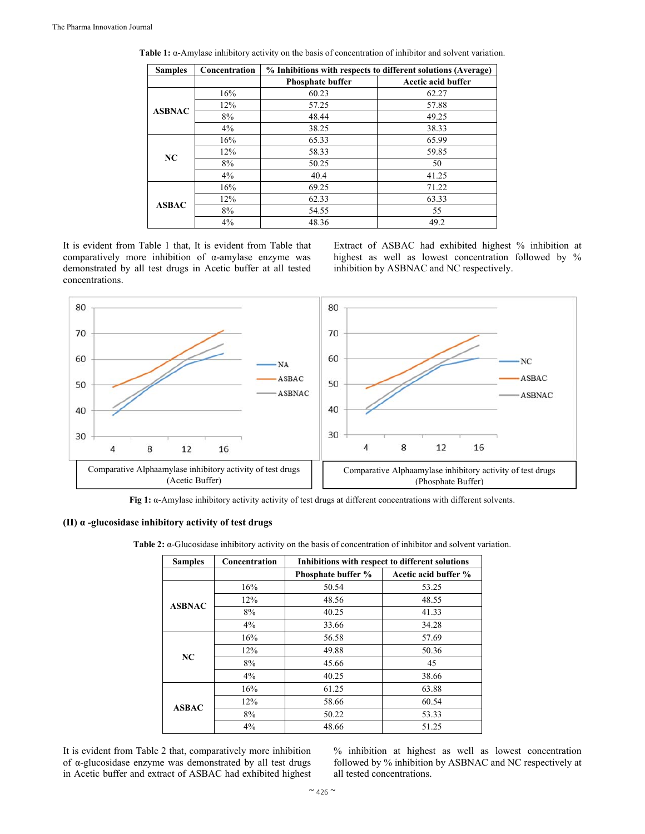| <b>Samples</b> | Concentration | % Inhibitions with respects to different solutions (Average) |                    |
|----------------|---------------|--------------------------------------------------------------|--------------------|
|                |               | Phosphate buffer                                             | Acetic acid buffer |
| <b>ASBNAC</b>  | 16%           | 60.23                                                        | 62.27              |
|                | 12%           | 57.25                                                        | 57.88              |
|                | 8%            | 48.44                                                        | 49.25              |
|                | $4\%$         | 38.25                                                        | 38.33              |
| NC             | 16%           | 65.33                                                        | 65.99              |
|                | 12%           | 58.33                                                        | 59.85              |
|                | 8%            | 50.25                                                        | 50                 |
|                | $4\%$         | 40.4                                                         | 41.25              |
| <b>ASBAC</b>   | 16%           | 69.25                                                        | 71.22              |
|                | 12%           | 62.33                                                        | 63.33              |
|                | 8%            | 54.55                                                        | 55                 |
|                | $4\%$         | 48.36                                                        | 49.2               |

**Table 1:** α-Amylase inhibitory activity on the basis of concentration of inhibitor and solvent variation.

It is evident from Table 1 that, It is evident from Table that comparatively more inhibition of α-amylase enzyme was demonstrated by all test drugs in Acetic buffer at all tested concentrations.

Extract of ASBAC had exhibited highest % inhibition at highest as well as lowest concentration followed by % inhibition by ASBNAC and NC respectively.



**Fig 1:** α-Amylase inhibitory activity activity of test drugs at different concentrations with different solvents.

#### **(II) α -glucosidase inhibitory activity of test drugs**

**Table 2:** α-Glucosidase inhibitory activity on the basis of concentration of inhibitor and solvent variation.

| <b>Samples</b> | Concentration | Inhibitions with respect to different solutions |                      |
|----------------|---------------|-------------------------------------------------|----------------------|
|                |               | Phosphate buffer %                              | Acetic acid buffer % |
| <b>ASBNAC</b>  | 16%           | 50.54                                           | 53.25                |
|                | 12%           | 48.56                                           | 48.55                |
|                | 8%            | 40.25                                           | 41.33                |
|                | $4\%$         | 33.66                                           | 34.28                |
|                | 16%           | 56.58                                           | 57.69                |
| NC             | 12%           | 49.88                                           | 50.36                |
|                | 8%            | 45.66                                           | 45                   |
|                | $4\%$         | 40.25                                           | 38.66                |
|                | 16%           | 61.25                                           | 63.88                |
| <b>ASBAC</b>   | 12%           | 58.66                                           | 60.54                |
|                | 8%            | 50.22                                           | 53.33                |
|                | $4\%$         | 48.66                                           | 51.25                |

It is evident from Table 2 that, comparatively more inhibition of α-glucosidase enzyme was demonstrated by all test drugs in Acetic buffer and extract of ASBAC had exhibited highest % inhibition at highest as well as lowest concentration followed by % inhibition by ASBNAC and NC respectively at all tested concentrations.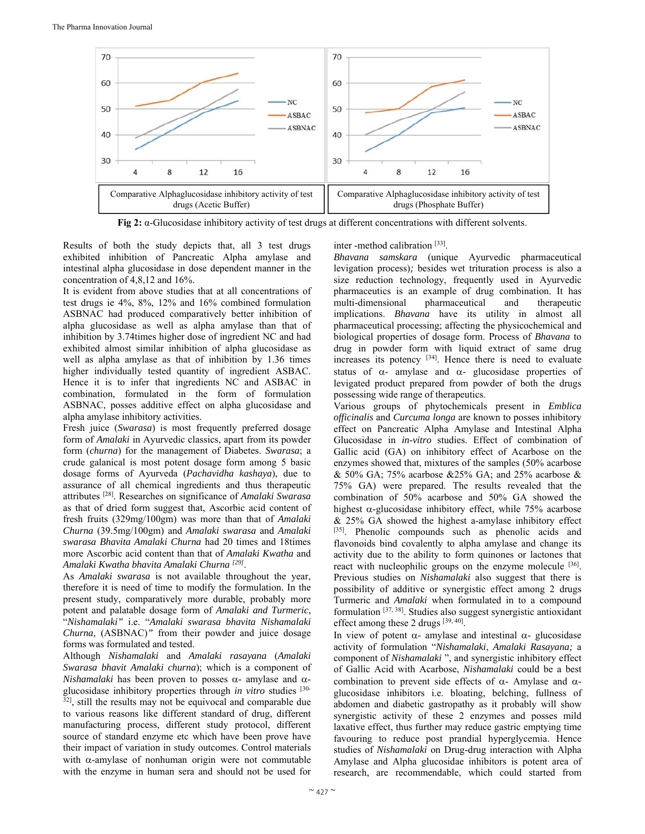

**Fig 2:** α-Glucosidase inhibitory activity of test drugs at different concentrations with different solvents.

Results of both the study depicts that, all 3 test drugs exhibited inhibition of Pancreatic Alpha amylase and intestinal alpha glucosidase in dose dependent manner in the concentration of 4,8,12 and 16%.

It is evident from above studies that at all concentrations of test drugs ie 4%, 8%, 12% and 16% combined formulation ASBNAC had produced comparatively better inhibition of alpha glucosidase as well as alpha amylase than that of inhibition by 3.74times higher dose of ingredient NC and had exhibited almost similar inhibition of alpha glucosidase as well as alpha amylase as that of inhibition by 1.36 times higher individually tested quantity of ingredient ASBAC. Hence it is to infer that ingredients NC and ASBAC in combination, formulated in the form of formulation ASBNAC, posses additive effect on alpha glucosidase and alpha amylase inhibitory activities.

Fresh juice (*Swarasa*) is most frequently preferred dosage form of *Amalaki* in Ayurvedic classics, apart from its powder form (*churna*) for the management of Diabetes. *Swarasa*; a crude galanical is most potent dosage form among 5 basic dosage forms of Ayurveda (*Pachavidha kashaya*), due to assurance of all chemical ingredients and thus therapeutic attributes [28]. Researches on significance of *Amalaki Swarasa* as that of dried form suggest that, Ascorbic acid content of fresh fruits (329mg/100gm) was more than that of *Amalaki Churna* (39.5mg/100gm) and *Amalaki swarasa* and *Amalaki swarasa Bhavita Amalaki Churna* had 20 times and 18times more Ascorbic acid content than that of *Amalaki Kwatha* and *Amalaki Kwatha bhavita Amalaki Churna [29]*.

As *Amalaki swarasa* is not available throughout the year, therefore it is need of time to modify the formulation. In the present study, comparatively more durable, probably more potent and palatable dosage form of *Amalaki and Turmeric*, "*Nishamalaki"* i.e. "*Amalaki swarasa bhavita Nishamalaki Churna,* (ASBNAC)*"* from their powder and juice dosage forms was formulated and tested.

Although *Nishamalaki* and *Amalaki rasayana* (*Amalaki Swarasa bhavit Amalaki churna*); which is a component of *Nishamalaki* has been proven to posses  $\alpha$ - amylase and  $\alpha$ glucosidase inhibitory properties through *in vitro* studies [30- <sup>32</sup>], still the results may not be equivocal and comparable due to various reasons like different standard of drug, different manufacturing process, different study protocol, different source of standard enzyme etc which have been prove have their impact of variation in study outcomes. Control materials with  $\alpha$ -amylase of nonhuman origin were not commutable with the enzyme in human sera and should not be used for

inter -method calibration [33].

*Bhavana samskara* (unique Ayurvedic pharmaceutical levigation process)*;* besides wet trituration process is also a size reduction technology, frequently used in Ayurvedic pharmaceutics is an example of drug combination. It has multi-dimensional pharmaceutical and therapeutic implications. *Bhavana* have its utility in almost all pharmaceutical processing; affecting the physicochemical and biological properties of dosage form. Process of *Bhavana* to drug in powder form with liquid extract of same drug increases its potency [34]. Hence there is need to evaluate status of  $\alpha$ - amylase and  $\alpha$ - glucosidase properties of levigated product prepared from powder of both the drugs possessing wide range of therapeutics.

Various groups of phytochemicals present in *Emblica officinalis* and *Curcuma longa* are known to posses inhibitory effect on Pancreatic Alpha Amylase and Intestinal Alpha Glucosidase in *in-vitro* studies. Effect of combination of Gallic acid (GA) on inhibitory effect of Acarbose on the enzymes showed that, mixtures of the samples (50% acarbose  $& 50\%$  GA; 75% acarbose  $& 25\%$  GA; and 25% acarbose  $& 8$ 75% GA) were prepared. The results revealed that the combination of 50% acarbose and 50% GA showed the highest  $\alpha$ -glucosidase inhibitory effect, while 75% acarbose & 25% GA showed the highest a-amylase inhibitory effect [35]. Phenolic compounds such as phenolic acids and flavonoids bind covalently to alpha amylase and change its activity due to the ability to form quinones or lactones that react with nucleophilic groups on the enzyme molecule [36]. Previous studies on *Nishamalaki* also suggest that there is possibility of additive or synergistic effect among 2 drugs Turmeric and *Amalaki* when formulated in to a compound formulation [37, 38]. Studies also suggest synergistic antioxidant effect among these 2 drugs [39, 40].

In view of potent  $\alpha$ - amylase and intestinal  $\alpha$ - glucosidase activity of formulation "*Nishamalaki*, *Amalaki Rasayana;* a component of *Nishamalaki* ", and synergistic inhibitory effect of Gallic Acid with Acarbose, *Nishamalaki* could be a best combination to prevent side effects of  $\alpha$ - Amylase and  $\alpha$ glucosidase inhibitors i.e. bloating, belching, fullness of abdomen and diabetic gastropathy as it probably will show synergistic activity of these 2 enzymes and posses mild laxative effect, thus further may reduce gastric emptying time favouring to reduce post prandial hyperglycemia. Hence studies of *Nishamalaki* on Drug-drug interaction with Alpha Amylase and Alpha glucosidae inhibitors is potent area of research, are recommendable, which could started from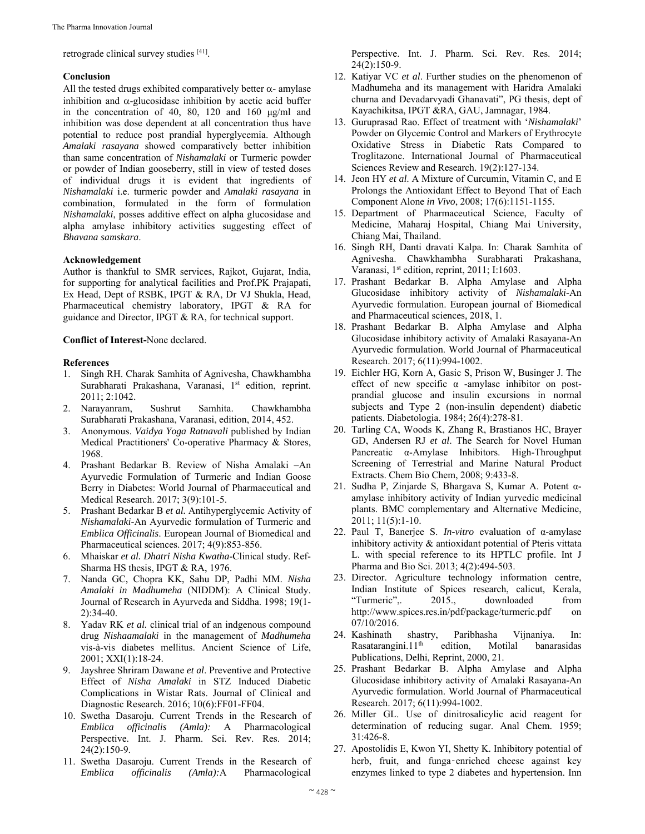retrograde clinical survey studies [41].

#### **Conclusion**

All the tested drugs exhibited comparatively better  $\alpha$ - amylase inhibition and  $\alpha$ -glucosidase inhibition by acetic acid buffer in the concentration of 40, 80, 120 and 160 μg/ml and inhibition was dose dependent at all concentration thus have potential to reduce post prandial hyperglycemia. Although *Amalaki rasayana* showed comparatively better inhibition than same concentration of *Nishamalaki* or Turmeric powder or powder of Indian gooseberry, still in view of tested doses of individual drugs it is evident that ingredients of *Nishamalaki* i.e. turmeric powder and *Amalaki rasayana* in combination, formulated in the form of formulation *Nishamalaki*, posses additive effect on alpha glucosidase and alpha amylase inhibitory activities suggesting effect of *Bhavana samskara*.

## **Acknowledgement**

Author is thankful to SMR services, Rajkot, Gujarat, India, for supporting for analytical facilities and Prof.PK Prajapati, Ex Head, Dept of RSBK, IPGT & RA, Dr VJ Shukla, Head, Pharmaceutical chemistry laboratory, IPGT & RA for guidance and Director, IPGT & RA, for technical support.

**Conflict of Interest-**None declared.

## **References**

- 1. Singh RH. Charak Samhita of Agnivesha, Chawkhambha Surabharati Prakashana, Varanasi, 1<sup>st</sup> edition, reprint. 2011; 2:1042.
- 2. Narayanram, Sushrut Samhita. Chawkhambha Surabharati Prakashana, Varanasi, edition, 2014, 452.
- 3. Anonymous. *Vaidya Yoga Ratnavali* published by Indian Medical Practitioners' Co-operative Pharmacy & Stores, 1968.
- 4. Prashant Bedarkar B. Review of Nisha Amalaki –An Ayurvedic Formulation of Turmeric and Indian Goose Berry in Diabetes: World Journal of Pharmaceutical and Medical Research. 2017; 3(9):101-5.
- 5. Prashant Bedarkar B *et al.* Antihyperglycemic Activity of *Nishamalaki*-An Ayurvedic formulation of Turmeric and *Emblica Officinalis*. European Journal of Biomedical and Pharmaceutical sciences. 2017; 4(9):853-856.
- 6. Mhaiskar *et al. Dhatri Nisha Kwatha*-Clinical study. Ref-Sharma HS thesis, IPGT & RA, 1976.
- 7. Nanda GC, Chopra KK, Sahu DP, Padhi MM. *Nisha Amalaki in Madhumeha* (NIDDM): A Clinical Study. Journal of Research in Ayurveda and Siddha. 1998; 19(1- 2):34-40.
- 8. Yadav RK *et al.* clinical trial of an indgenous compound drug *Nishaamalaki* in the management of *Madhumeha* vis-à-vis diabetes mellitus. Ancient Science of Life, 2001; XXI(1):18-24.
- 9. Jayshree Shriram Dawane *et al*. Preventive and Protective Effect of *Nisha Amalaki* in STZ Induced Diabetic Complications in Wistar Rats. Journal of Clinical and Diagnostic Research. 2016; 10(6):FF01-FF04.
- 10. Swetha Dasaroju. Current Trends in the Research of *Emblica officinalis (Amla):* A Pharmacological Perspective. Int. J. Pharm. Sci. Rev. Res. 2014; 24(2):150-9.
- 11. Swetha Dasaroju. Current Trends in the Research of *Emblica officinalis (Amla):*A Pharmacological

Perspective. Int. J. Pharm. Sci. Rev. Res. 2014; 24(2):150-9.

- 12. Katiyar VC *et al*. Further studies on the phenomenon of Madhumeha and its management with Haridra Amalaki churna and Devadarvyadi Ghanavati", PG thesis, dept of Kayachikitsa, IPGT &RA, GAU, Jamnagar, 1984.
- 13. Guruprasad Rao. Effect of treatment with '*Nishamalaki*' Powder on Glycemic Control and Markers of Erythrocyte Oxidative Stress in Diabetic Rats Compared to Troglitazone. International Journal of Pharmaceutical Sciences Review and Research. 19(2):127-134.
- 14. Jeon HY *et al*. A Mixture of Curcumin, Vitamin C, and E Prolongs the Antioxidant Effect to Beyond That of Each Component Alone *in Vivo*, 2008; 17(6):1151-1155.
- 15. Department of Pharmaceutical Science, Faculty of Medicine, Maharaj Hospital, Chiang Mai University, Chiang Mai, Thailand.
- 16. Singh RH, Danti dravati Kalpa. In: Charak Samhita of Agnivesha. Chawkhambha Surabharati Prakashana, Varanasi, 1<sup>st</sup> edition, reprint, 2011; I:1603.
- 17. Prashant Bedarkar B. Alpha Amylase and Alpha Glucosidase inhibitory activity of *Nishamalaki*-An Ayurvedic formulation. European journal of Biomedical and Pharmaceutical sciences*,* 2018, 1.
- 18. Prashant Bedarkar B. Alpha Amylase and Alpha Glucosidase inhibitory activity of Amalaki Rasayana-An Ayurvedic formulation. World Journal of Pharmaceutical Research. 2017; 6(11):994-1002.
- 19. Eichler HG, Korn A, Gasic S, Prison W, Businger J. The effect of new specific  $\alpha$  -amylase inhibitor on postprandial glucose and insulin excursions in normal subjects and Type 2 (non-insulin dependent) diabetic patients. Diabetologia. 1984; 26(4):278-81.
- 20. Tarling CA, Woods K, Zhang R, Brastianos HC, Brayer GD, Andersen RJ *et al*. The Search for Novel Human Pancreatic α-Amylase Inhibitors. High-Throughput Screening of Terrestrial and Marine Natural Product Extracts. Chem Bio Chem, 2008; 9:433-8.
- 21. Sudha P, Zinjarde S, Bhargava S, Kumar A. Potent αamylase inhibitory activity of Indian yurvedic medicinal plants. BMC complementary and Alternative Medicine, 2011; 11(5):1-10.
- 22. Paul T, Banerjee S. *In-vitro* evaluation of α-amylase inhibitory activity & antioxidant potential of Pteris vittata L. with special reference to its HPTLC profile. Int J Pharma and Bio Sci. 2013; 4(2):494-503.
- 23. Director. Agriculture technology information centre, Indian Institute of Spices research, calicut, Kerala, "Turmeric",. 2015., downloaded from http://www.spices.res.in/pdf/package/turmeric.pdf on 07/10/2016.
- 24. Kashinath shastry, Paribhasha Vijnaniya. In:<br>Rasatarangini.11<sup>th</sup> edition, Motilal banarasidas Rasatarangini.11<sup>th</sup> edition, Motilal banarasidas Publications, Delhi, Reprint, 2000, 21.
- 25. Prashant Bedarkar B. Alpha Amylase and Alpha Glucosidase inhibitory activity of Amalaki Rasayana-An Ayurvedic formulation. World Journal of Pharmaceutical Research. 2017; 6(11):994-1002.
- 26. Miller GL. Use of dinitrosalicylic acid reagent for determination of reducing sugar. Anal Chem. 1959; 31:426-8.
- 27. Apostolidis E, Kwon YI, Shetty K. Inhibitory potential of herb, fruit, and funga-enriched cheese against key enzymes linked to type 2 diabetes and hypertension. Inn